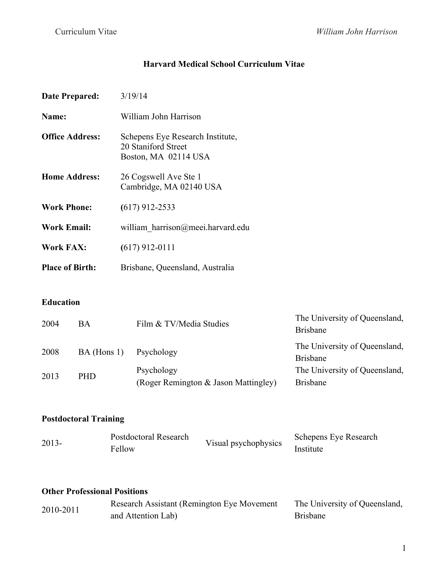# **Harvard Medical School Curriculum Vitae**

| <b>Date Prepared:</b>  |           | 3/19/14                                                                         |                                                  |
|------------------------|-----------|---------------------------------------------------------------------------------|--------------------------------------------------|
| Name:                  |           | William John Harrison                                                           |                                                  |
| <b>Office Address:</b> |           | Schepens Eye Research Institute,<br>20 Staniford Street<br>Boston, MA 02114 USA |                                                  |
| <b>Home Address:</b>   |           | 26 Cogswell Ave Ste 1<br>Cambridge, MA 02140 USA                                |                                                  |
| <b>Work Phone:</b>     |           | $(617)$ 912-2533                                                                |                                                  |
| <b>Work Email:</b>     |           | william harrison@meei.harvard.edu                                               |                                                  |
| <b>Work FAX:</b>       |           | $(617)$ 912-0111                                                                |                                                  |
| <b>Place of Birth:</b> |           | Brisbane, Queensland, Australia                                                 |                                                  |
| <b>Education</b>       |           |                                                                                 |                                                  |
| 2004                   | <b>BA</b> | Film & TV/Media Studies                                                         | The University of Queensland,<br><b>Brisbane</b> |

| 2008 |               |                                                    | The University of Queensland,                    |  |
|------|---------------|----------------------------------------------------|--------------------------------------------------|--|
|      | $BA$ (Hons 1) | Psychology                                         | <b>Brisbane</b>                                  |  |
| 2013 | <b>PHD</b>    | Psychology<br>(Roger Remington & Jason Mattingley) | The University of Queensland,<br><b>Brisbane</b> |  |

#### **Postdoctoral Training**

| $2013 -$ | Postdoctoral Research | Visual psychophysics | Schepens Eye Research |
|----------|-----------------------|----------------------|-----------------------|
|          | Fellow                |                      | Institute             |

#### **Other Professional Positions**

| 2010-2011 | Research Assistant (Remington Eye Movement) | The University of Queensland, |
|-----------|---------------------------------------------|-------------------------------|
|           | and Attention Lab)                          | <b>Brisbane</b>               |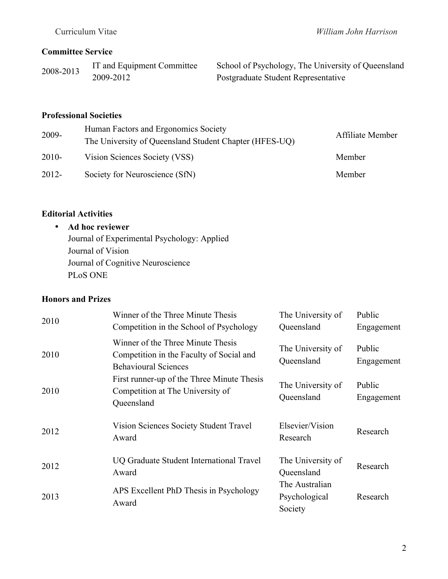### **Committee Service**

2008-2013 IT and Equipment Committee 2009-2012

School of Psychology, The University of Queensland Postgraduate Student Representative

### **Professional Societies**

| 2009-    | Human Factors and Ergonomics Society<br>The University of Queensland Student Chapter (HFES-UQ) | Affiliate Member |
|----------|------------------------------------------------------------------------------------------------|------------------|
| $2010-$  | Vision Sciences Society (VSS)                                                                  | Member           |
| $2012 -$ | Society for Neuroscience (SfN)                                                                 | Member           |

## **Editorial Activities**

### • **Ad hoc reviewer**

Journal of Experimental Psychology: Applied Journal of Vision Journal of Cognitive Neuroscience PLoS ONE

## **Honors and Prizes**

| 2010 | Winner of the Three Minute Thesis<br>Competition in the School of Psychology                                 | The University of<br>Queensland | Public<br>Engagement |
|------|--------------------------------------------------------------------------------------------------------------|---------------------------------|----------------------|
| 2010 | Winner of the Three Minute Thesis<br>Competition in the Faculty of Social and<br><b>Behavioural Sciences</b> | The University of<br>Queensland | Public<br>Engagement |
| 2010 | First runner-up of the Three Minute Thesis<br>Competition at The University of<br>Queensland                 | The University of<br>Queensland | Public<br>Engagement |
| 2012 | Vision Sciences Society Student Travel<br>Award                                                              | Elsevier/Vision<br>Research     | Research             |
| 2012 | UQ Graduate Student International Travel<br>Award                                                            | The University of<br>Queensland | Research             |
| 2013 | APS Excellent PhD Thesis in Psychology<br>Award                                                              | The Australian<br>Psychological | Research             |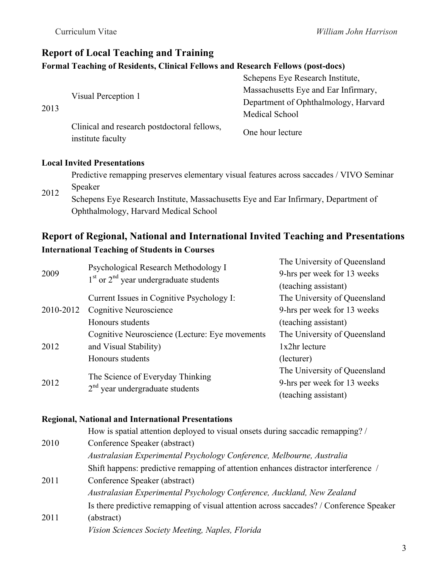# **Report of Local Teaching and Training Formal Teaching of Residents, Clinical Fellows and Research Fellows (post-docs)**

|      | Visual Perception 1                                              | Schepens Eye Research Institute,     |
|------|------------------------------------------------------------------|--------------------------------------|
| 2013 |                                                                  | Massachusetts Eye and Ear Infirmary, |
|      |                                                                  | Department of Ophthalmology, Harvard |
|      |                                                                  | Medical School                       |
|      | Clinical and research postdoctoral fellows,<br>institute faculty | One hour lecture                     |

#### **Local Invited Presentations**

| Predictive remapping preserves elementary visual features across saccades / VIVO Seminar |
|------------------------------------------------------------------------------------------|
| Speaker                                                                                  |

2012 Schepens Eye Research Institute, Massachusetts Eye and Ear Infirmary, Department of Ophthalmology, Harvard Medical School

# **Report of Regional, National and International Invited Teaching and Presentations International Teaching of Students in Courses**

| 2009      | Psychological Research Methodology I<br>$1st$ or $2nd$ year undergraduate students | The University of Queensland<br>9-hrs per week for 13 weeks<br>(teaching assistant) |
|-----------|------------------------------------------------------------------------------------|-------------------------------------------------------------------------------------|
|           | Current Issues in Cognitive Psychology I:                                          | The University of Queensland                                                        |
| 2010-2012 | Cognitive Neuroscience                                                             | 9-hrs per week for 13 weeks                                                         |
|           | Honours students                                                                   | (teaching assistant)                                                                |
|           | Cognitive Neuroscience (Lecture: Eye movements                                     | The University of Queensland                                                        |
| 2012      | and Visual Stability)                                                              | 1x2hr lecture                                                                       |
|           | Honours students                                                                   | (lecturer)                                                                          |
|           |                                                                                    | The University of Queensland                                                        |
| 2012      | The Science of Everyday Thinking                                                   | 9-hrs per week for 13 weeks                                                         |
|           | $2nd$ year undergraduate students                                                  | (teaching assistant)                                                                |

#### **Regional, National and International Presentations**

|      | How is spatial attention deployed to visual onsets during saccadic remapping? /         |
|------|-----------------------------------------------------------------------------------------|
| 2010 | Conference Speaker (abstract)                                                           |
|      | Australasian Experimental Psychology Conference, Melbourne, Australia                   |
|      | Shift happens: predictive remapping of attention enhances distractor interference /     |
| 2011 | Conference Speaker (abstract)                                                           |
|      | Australasian Experimental Psychology Conference, Auckland, New Zealand                  |
|      | Is there predictive remapping of visual attention across saccades? / Conference Speaker |
| 2011 | (abstract)                                                                              |
|      | Vision Sciences Society Meeting, Naples, Florida                                        |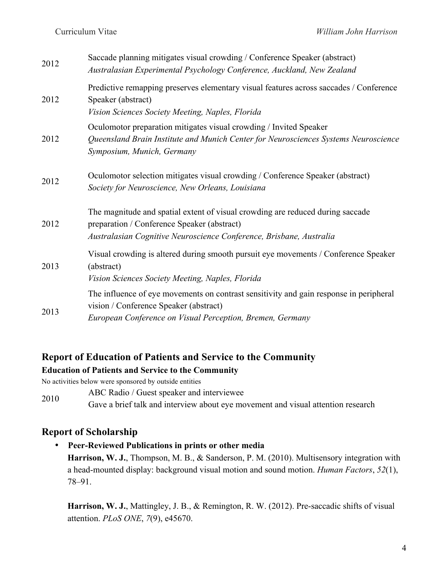| 2012 | Saccade planning mitigates visual crowding / Conference Speaker (abstract)<br>Australasian Experimental Psychology Conference, Auckland, New Zealand                                                 |
|------|------------------------------------------------------------------------------------------------------------------------------------------------------------------------------------------------------|
| 2012 | Predictive remapping preserves elementary visual features across saccades / Conference<br>Speaker (abstract)<br>Vision Sciences Society Meeting, Naples, Florida                                     |
| 2012 | Oculomotor preparation mitigates visual crowding / Invited Speaker<br>Queensland Brain Institute and Munich Center for Neurosciences Systems Neuroscience<br>Symposium, Munich, Germany              |
| 2012 | Oculomotor selection mitigates visual crowding / Conference Speaker (abstract)<br>Society for Neuroscience, New Orleans, Louisiana                                                                   |
| 2012 | The magnitude and spatial extent of visual crowding are reduced during saccade<br>preparation / Conference Speaker (abstract)<br>Australasian Cognitive Neuroscience Conference, Brisbane, Australia |
| 2013 | Visual crowding is altered during smooth pursuit eye movements / Conference Speaker<br>(abstract)<br>Vision Sciences Society Meeting, Naples, Florida                                                |
| 2013 | The influence of eye movements on contrast sensitivity and gain response in peripheral<br>vision / Conference Speaker (abstract)<br>European Conference on Visual Perception, Bremen, Germany        |

#### **Report of Education of Patients and Service to the Community**

#### **Education of Patients and Service to the Community**

No activities below were sponsored by outside entities

- 2010 ABC Radio / Guest speaker and interviewee
- Gave a brief talk and interview about eye movement and visual attention research

#### **Report of Scholarship**

• **Peer-Reviewed Publications in prints or other media Harrison, W. J.**, Thompson, M. B., & Sanderson, P. M. (2010). Multisensory integration with a head-mounted display: background visual motion and sound motion. *Human Factors*, *52*(1), 78–91.

**Harrison, W. J.**, Mattingley, J. B., & Remington, R. W. (2012). Pre-saccadic shifts of visual attention. *PLoS ONE*, *7*(9), e45670.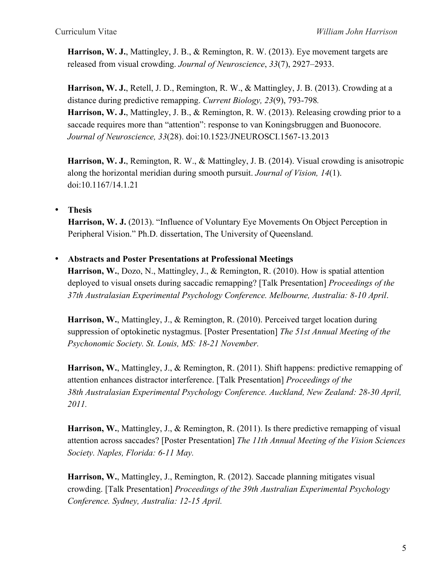**Harrison, W. J.**, Mattingley, J. B., & Remington, R. W. (2013). Eye movement targets are released from visual crowding. *Journal of Neuroscience*, *33*(7), 2927–2933.

**Harrison, W. J.**, Retell, J. D., Remington, R. W., & Mattingley, J. B. (2013). Crowding at a distance during predictive remapping. *Current Biology, 23*(9), 793-798*.* **Harrison, W. J.**, Mattingley, J. B., & Remington, R. W. (2013). Releasing crowding prior to a saccade requires more than "attention": response to van Koningsbruggen and Buonocore. *Journal of Neuroscience, 33*(28). doi:10.1523/JNEUROSCI.1567-13.2013

**Harrison, W. J.**, Remington, R. W., & Mattingley, J. B. (2014). Visual crowding is anisotropic along the horizontal meridian during smooth pursuit. *Journal of Vision, 14*(1). doi:10.1167/14.1.21

• **Thesis**

**Harrison, W. J.** (2013). "Influence of Voluntary Eye Movements On Object Perception in Peripheral Vision." Ph.D. dissertation, The University of Queensland.

#### • **Abstracts and Poster Presentations at Professional Meetings**

**Harrison, W.**, Dozo, N., Mattingley, J., & Remington, R. (2010). How is spatial attention deployed to visual onsets during saccadic remapping? [Talk Presentation] *Proceedings of the 37th Australasian Experimental Psychology Conference. Melbourne, Australia: 8-10 April*.

**Harrison, W.**, Mattingley, J., & Remington, R. (2010). Perceived target location during suppression of optokinetic nystagmus. [Poster Presentation] *The 51st Annual Meeting of the Psychonomic Society. St. Louis, MS: 18-21 November.*

**Harrison, W.**, Mattingley, J., & Remington, R. (2011). Shift happens: predictive remapping of attention enhances distractor interference. [Talk Presentation] *Proceedings of the 38th Australasian Experimental Psychology Conference. Auckland, New Zealand: 28-30 April, 2011.*

**Harrison, W.**, Mattingley, J., & Remington, R. (2011). Is there predictive remapping of visual attention across saccades? [Poster Presentation] *The 11th Annual Meeting of the Vision Sciences Society. Naples, Florida: 6-11 May.*

**Harrison, W.**, Mattingley, J., Remington, R. (2012). Saccade planning mitigates visual crowding. [Talk Presentation] *Proceedings of the 39th Australian Experimental Psychology Conference. Sydney, Australia: 12-15 April.*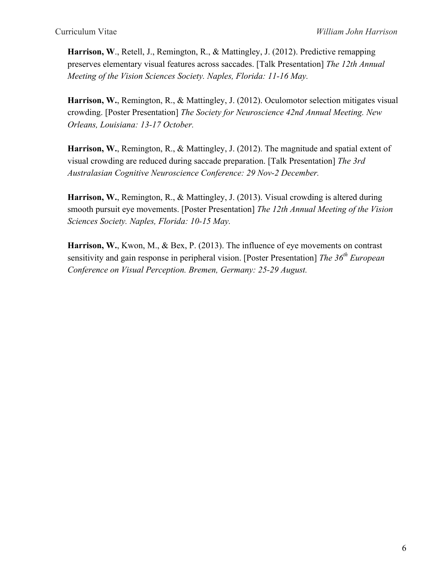**Harrison, W**., Retell, J., Remington, R., & Mattingley, J. (2012). Predictive remapping preserves elementary visual features across saccades. [Talk Presentation] *The 12th Annual Meeting of the Vision Sciences Society. Naples, Florida: 11-16 May.*

**Harrison, W.**, Remington, R., & Mattingley, J. (2012). Oculomotor selection mitigates visual crowding. [Poster Presentation] *The Society for Neuroscience 42nd Annual Meeting. New Orleans, Louisiana: 13-17 October.*

**Harrison, W.**, Remington, R., & Mattingley, J. (2012). The magnitude and spatial extent of visual crowding are reduced during saccade preparation. [Talk Presentation] *The 3rd Australasian Cognitive Neuroscience Conference: 29 Nov-2 December.*

**Harrison, W.**, Remington, R., & Mattingley, J. (2013). Visual crowding is altered during smooth pursuit eye movements. [Poster Presentation] *The 12th Annual Meeting of the Vision Sciences Society. Naples, Florida: 10-15 May.*

**Harrison, W.**, Kwon, M., & Bex, P. (2013). The influence of eye movements on contrast sensitivity and gain response in peripheral vision. [Poster Presentation] *The 36<sup>th</sup> European Conference on Visual Perception. Bremen, Germany: 25-29 August.*